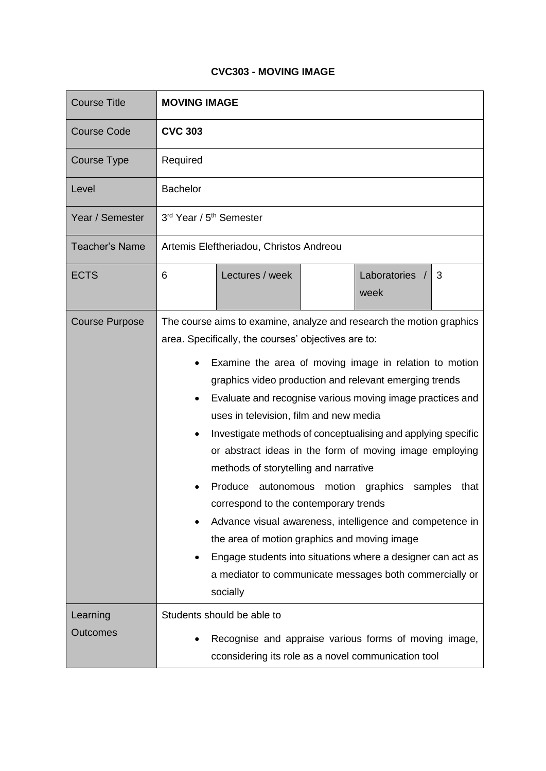## **CVC303 - MOVING IMAGE**

| <b>Course Title</b>   | <b>MOVING IMAGE</b>                                                                                                                                                                                                                                                                                                                                                                                                                                                                                                                                                                                                                                                                                                                                                                                                                                                                              |
|-----------------------|--------------------------------------------------------------------------------------------------------------------------------------------------------------------------------------------------------------------------------------------------------------------------------------------------------------------------------------------------------------------------------------------------------------------------------------------------------------------------------------------------------------------------------------------------------------------------------------------------------------------------------------------------------------------------------------------------------------------------------------------------------------------------------------------------------------------------------------------------------------------------------------------------|
| <b>Course Code</b>    | <b>CVC 303</b>                                                                                                                                                                                                                                                                                                                                                                                                                                                                                                                                                                                                                                                                                                                                                                                                                                                                                   |
| <b>Course Type</b>    | Required                                                                                                                                                                                                                                                                                                                                                                                                                                                                                                                                                                                                                                                                                                                                                                                                                                                                                         |
| Level                 | <b>Bachelor</b>                                                                                                                                                                                                                                                                                                                                                                                                                                                                                                                                                                                                                                                                                                                                                                                                                                                                                  |
| Year / Semester       | 3rd Year / 5 <sup>th</sup> Semester                                                                                                                                                                                                                                                                                                                                                                                                                                                                                                                                                                                                                                                                                                                                                                                                                                                              |
| <b>Teacher's Name</b> | Artemis Eleftheriadou, Christos Andreou                                                                                                                                                                                                                                                                                                                                                                                                                                                                                                                                                                                                                                                                                                                                                                                                                                                          |
| <b>ECTS</b>           | Laboratories /<br>Lectures / week<br>6<br>3<br>week                                                                                                                                                                                                                                                                                                                                                                                                                                                                                                                                                                                                                                                                                                                                                                                                                                              |
| <b>Course Purpose</b> | The course aims to examine, analyze and research the motion graphics<br>area. Specifically, the courses' objectives are to:<br>Examine the area of moving image in relation to motion<br>٠<br>graphics video production and relevant emerging trends<br>Evaluate and recognise various moving image practices and<br>٠<br>uses in television, film and new media<br>Investigate methods of conceptualising and applying specific<br>٠<br>or abstract ideas in the form of moving image employing<br>methods of storytelling and narrative<br>Produce<br>autonomous motion graphics<br>samples<br>that<br>correspond to the contemporary trends<br>Advance visual awareness, intelligence and competence in<br>the area of motion graphics and moving image<br>Engage students into situations where a designer can act as<br>a mediator to communicate messages both commercially or<br>socially |
| Learning<br>Outcomes  | Students should be able to<br>Recognise and appraise various forms of moving image,<br>cconsidering its role as a novel communication tool                                                                                                                                                                                                                                                                                                                                                                                                                                                                                                                                                                                                                                                                                                                                                       |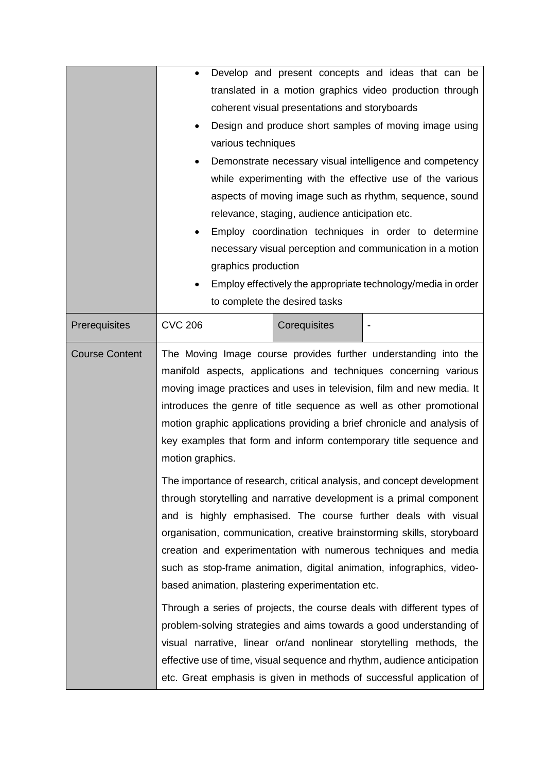|                       | Develop and present concepts and ideas that can be<br>$\bullet$<br>translated in a motion graphics video production through<br>coherent visual presentations and storyboards<br>Design and produce short samples of moving image using<br>various techniques<br>Demonstrate necessary visual intelligence and competency<br>while experimenting with the effective use of the various                                                                                                                                             |  |
|-----------------------|-----------------------------------------------------------------------------------------------------------------------------------------------------------------------------------------------------------------------------------------------------------------------------------------------------------------------------------------------------------------------------------------------------------------------------------------------------------------------------------------------------------------------------------|--|
|                       | aspects of moving image such as rhythm, sequence, sound<br>relevance, staging, audience anticipation etc.                                                                                                                                                                                                                                                                                                                                                                                                                         |  |
|                       | Employ coordination techniques in order to determine<br>necessary visual perception and communication in a motion<br>graphics production<br>Employ effectively the appropriate technology/media in order<br>to complete the desired tasks                                                                                                                                                                                                                                                                                         |  |
| Prerequisites         | <b>CVC 206</b><br>Corequisites                                                                                                                                                                                                                                                                                                                                                                                                                                                                                                    |  |
| <b>Course Content</b> | The Moving Image course provides further understanding into the<br>manifold aspects, applications and techniques concerning various<br>moving image practices and uses in television, film and new media. It<br>introduces the genre of title sequence as well as other promotional<br>motion graphic applications providing a brief chronicle and analysis of<br>key examples that form and inform contemporary title sequence and<br>motion graphics.<br>The importance of research, critical analysis, and concept development |  |
|                       | through storytelling and narrative development is a primal component<br>and is highly emphasised. The course further deals with visual<br>organisation, communication, creative brainstorming skills, storyboard<br>creation and experimentation with numerous techniques and media<br>such as stop-frame animation, digital animation, infographics, video-<br>based animation, plastering experimentation etc.                                                                                                                  |  |
|                       | Through a series of projects, the course deals with different types of<br>problem-solving strategies and aims towards a good understanding of<br>visual narrative, linear or/and nonlinear storytelling methods, the<br>effective use of time, visual sequence and rhythm, audience anticipation<br>etc. Great emphasis is given in methods of successful application of                                                                                                                                                          |  |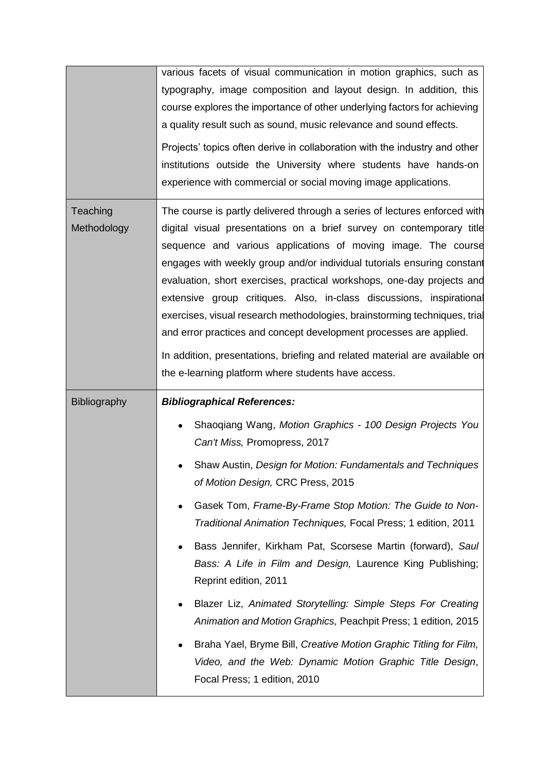|                         | various facets of visual communication in motion graphics, such as<br>typography, image composition and layout design. In addition, this<br>course explores the importance of other underlying factors for achieving<br>a quality result such as sound, music relevance and sound effects.<br>Projects' topics often derive in collaboration with the industry and other<br>institutions outside the University where students have hands-on<br>experience with commercial or social moving image applications.                                                                                                                                                                                                                                                                                                                         |
|-------------------------|-----------------------------------------------------------------------------------------------------------------------------------------------------------------------------------------------------------------------------------------------------------------------------------------------------------------------------------------------------------------------------------------------------------------------------------------------------------------------------------------------------------------------------------------------------------------------------------------------------------------------------------------------------------------------------------------------------------------------------------------------------------------------------------------------------------------------------------------|
| Teaching<br>Methodology | The course is partly delivered through a series of lectures enforced with<br>digital visual presentations on a brief survey on contemporary title<br>sequence and various applications of moving image. The course<br>engages with weekly group and/or individual tutorials ensuring constant<br>evaluation, short exercises, practical workshops, one-day projects and<br>extensive group critiques. Also, in-class discussions, inspirational<br>exercises, visual research methodologies, brainstorming techniques, trial<br>and error practices and concept development processes are applied.<br>In addition, presentations, briefing and related material are available on<br>the e-learning platform where students have access.                                                                                                 |
| Bibliography            | <b>Bibliographical References:</b><br>Shaoqiang Wang, Motion Graphics - 100 Design Projects You<br>$\bullet$<br>Can't Miss, Promopress, 2017<br>Shaw Austin, Design for Motion: Fundamentals and Techniques<br>of Motion Design, CRC Press, 2015<br>Gasek Tom, Frame-By-Frame Stop Motion: The Guide to Non-<br>Traditional Animation Techniques, Focal Press; 1 edition, 2011<br>Bass Jennifer, Kirkham Pat, Scorsese Martin (forward), Saul<br>Bass: A Life in Film and Design, Laurence King Publishing;<br>Reprint edition, 2011<br>Blazer Liz, Animated Storytelling: Simple Steps For Creating<br>Animation and Motion Graphics, Peachpit Press; 1 edition, 2015<br>Braha Yael, Bryme Bill, Creative Motion Graphic Titling for Film,<br>Video, and the Web: Dynamic Motion Graphic Title Design,<br>Focal Press; 1 edition, 2010 |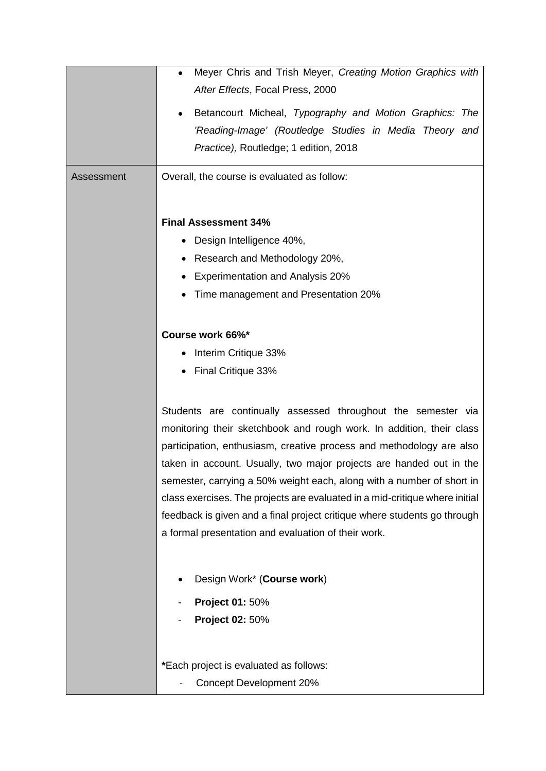| Assessment | Meyer Chris and Trish Meyer, Creating Motion Graphics with<br>$\bullet$<br>After Effects, Focal Press, 2000<br>Betancourt Micheal, Typography and Motion Graphics: The<br>٠<br>'Reading-Image' (Routledge Studies in Media Theory and<br>Practice), Routledge; 1 edition, 2018<br>Overall, the course is evaluated as follow:                                                                                                                                                                                                                                                   |
|------------|---------------------------------------------------------------------------------------------------------------------------------------------------------------------------------------------------------------------------------------------------------------------------------------------------------------------------------------------------------------------------------------------------------------------------------------------------------------------------------------------------------------------------------------------------------------------------------|
|            | <b>Final Assessment 34%</b><br>Design Intelligence 40%,<br>Research and Methodology 20%,<br><b>Experimentation and Analysis 20%</b><br>Time management and Presentation 20%                                                                                                                                                                                                                                                                                                                                                                                                     |
|            | Course work 66%*<br>Interim Critique 33%<br>Final Critique 33%                                                                                                                                                                                                                                                                                                                                                                                                                                                                                                                  |
|            | Students are continually assessed throughout the semester via<br>monitoring their sketchbook and rough work. In addition, their class<br>participation, enthusiasm, creative process and methodology are also<br>taken in account. Usually, two major projects are handed out in the<br>semester, carrying a 50% weight each, along with a number of short in<br>class exercises. The projects are evaluated in a mid-critique where initial<br>feedback is given and a final project critique where students go through<br>a formal presentation and evaluation of their work. |
|            | Design Work* (Course work)<br><b>Project 01: 50%</b><br>Project 02: 50%                                                                                                                                                                                                                                                                                                                                                                                                                                                                                                         |
|            | *Each project is evaluated as follows:<br><b>Concept Development 20%</b>                                                                                                                                                                                                                                                                                                                                                                                                                                                                                                        |